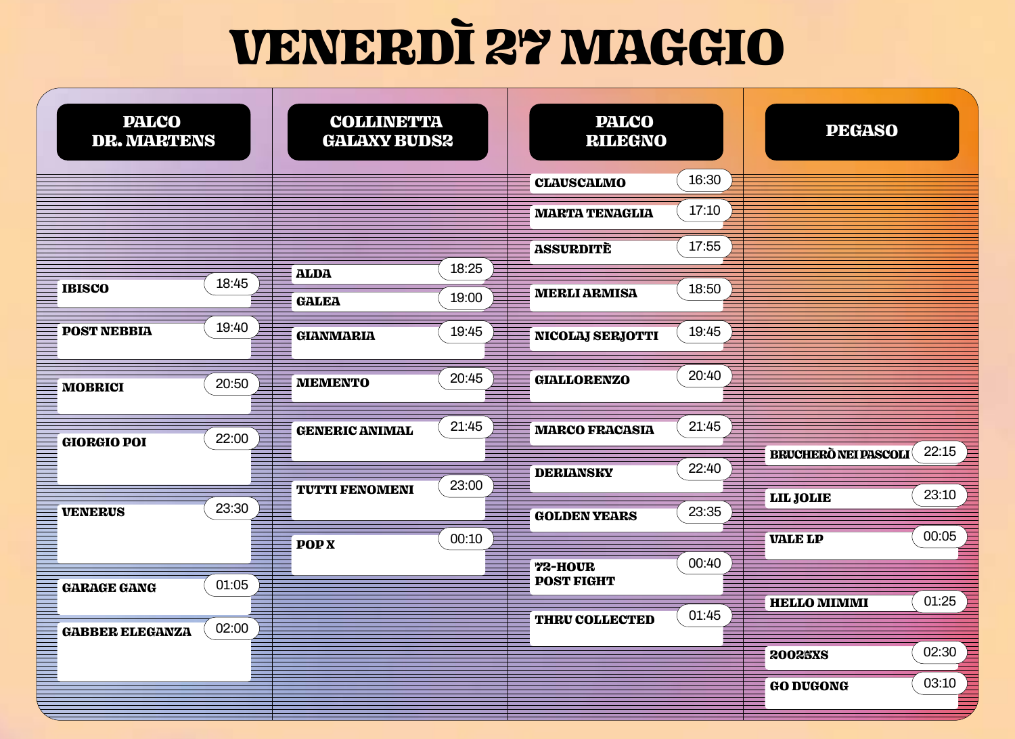## **VENERDÌ 27 MAGGIO**

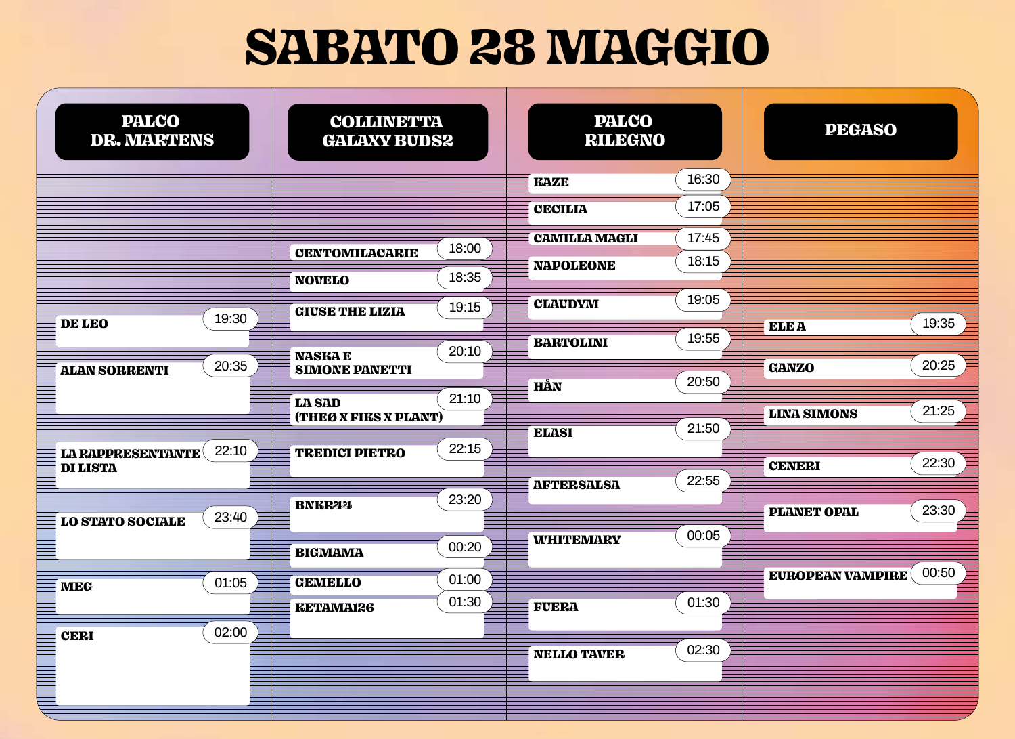## SABATO 28 MAGGIO